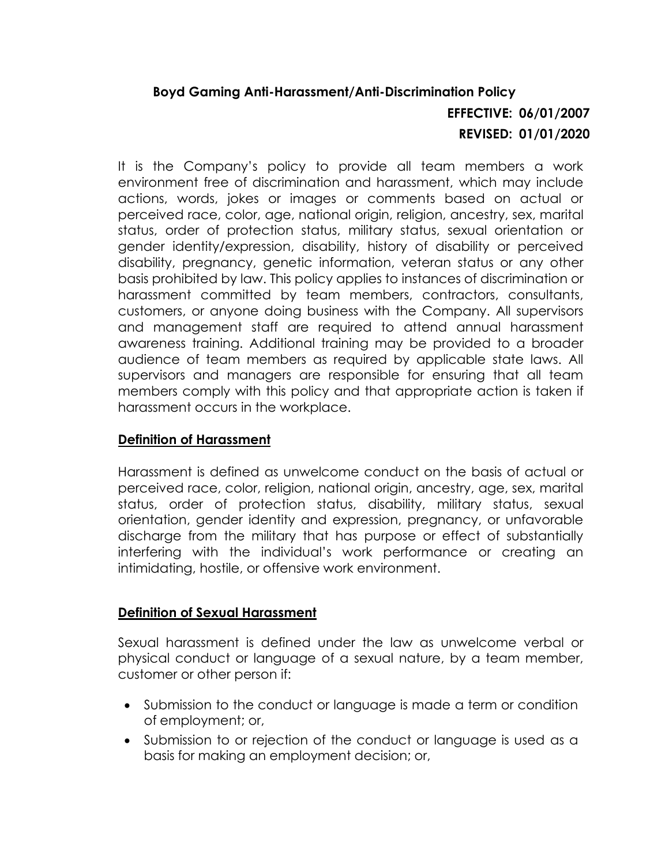## **Boyd Gaming Anti-Harassment/Anti-Discrimination Policy EFFECTIVE: 06/01/2007 REVISED: 01/01/2020**

It is the Company's policy to provide all team members a work environment free of discrimination and harassment, which may include actions, words, jokes or images or comments based on actual or perceived race, color, age, national origin, religion, ancestry, sex, marital status, order of protection status, military status, sexual orientation or gender identity/expression, disability, history of disability or perceived disability, pregnancy, genetic information, veteran status or any other basis prohibited by law. This policy applies to instances of discrimination or harassment committed by team members, contractors, consultants, customers, or anyone doing business with the Company. All supervisors and management staff are required to attend annual harassment awareness training. Additional training may be provided to a broader audience of team members as required by applicable state laws. All supervisors and managers are responsible for ensuring that all team members comply with this policy and that appropriate action is taken if harassment occurs in the workplace.

## **Definition of Harassment**

Harassment is defined as unwelcome conduct on the basis of actual or perceived race, color, religion, national origin, ancestry, age, sex, marital status, order of protection status, disability, military status, sexual orientation, gender identity and expression, pregnancy, or unfavorable discharge from the military that has purpose or effect of substantially interfering with the individual's work performance or creating an intimidating, hostile, or offensive work environment.

## **Definition of Sexual Harassment**

Sexual harassment is defined under the law as unwelcome verbal or physical conduct or language of a sexual nature, by a team member, customer or other person if:

- Submission to the conduct or language is made a term or condition of employment; or,
- Submission to or rejection of the conduct or language is used as a basis for making an employment decision; or,